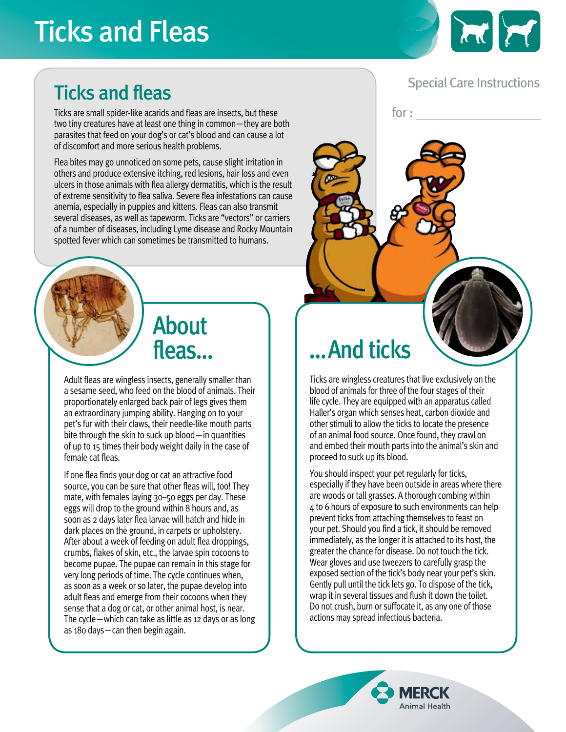# Ticks and Fleas



#### Special Care Instructions

for :

#### Ticks and fleas

Ticks are small spider-like acarids and fleas are insects, but these two tiny creatures have at least one thing in common—they are both parasites that feed on your dog's or cat's blood and can cause a lot of discomfort and more serious health problems.

Flea bites may go unnoticed on some pets, cause slight irritation in others and produce extensive itching, red lesions, hair loss and even ulcers in those animals with flea allergy dermatitis, which is the result of extreme sensitivity to flea saliva. Severe flea infestations can cause anemia, especially in puppies and kittens. Fleas can also transmit several diseases, as well as tapeworm. Ticks are "vectors" or carriers of a number of diseases, including Lyme disease and Rocky Mountain spotted fever which can sometimes be transmitted to humans.

## About fleas…

Adult fleas are wingless insects, generally smaller than a sesame seed, who feed on the blood of animals. Their proportionately enlarged back pair of legs gives them an extraordinary jumping ability. Hanging on to your pet's fur with their claws, their needle-like mouth parts bite through the skin to suck up blood—in quantities of up to 15 times their body weight daily in the case of female cat fleas.

If one flea finds your dog or cat an attractive food source, you can be sure that other fleas will, too! They mate, with females laying 30–50 eggs per day. These eggs will drop to the ground within 8 hours and, as soon as 2 days later flea larvae will hatch and hide in dark places on the ground, in carpets or upholstery. After about a week of feeding on adult flea droppings, crumbs, flakes of skin, etc., the larvae spin cocoons to become pupae. The pupae can remain in this stage for very long periods of time. The cycle continues when, as soon as a week or so later, the pupae develop into adult fleas and emerge from their cocoons when they sense that a dog or cat, or other animal host, is near. The cycle—which can take as little as 12 days or as long as 180 days—can then begin again.

# …And ticks

Ticks are wingless creatures that live exclusively on the blood of animals for three of the four stages of their life cycle. They are equipped with an apparatus called Haller's organ which senses heat, carbon dioxide and other stimuli to allow the ticks to locate the presence of an animal food source. Once found, they crawl on and embed their mouth parts into the animal's skin and proceed to suck up its blood.

You should inspect your pet regularly for ticks, especially if they have been outside in areas where there are woods or tall grasses. A thorough combing within 4 to 6 hours of exposure to such environments can help prevent ticks from attaching themselves to feast on your pet. Should you find a tick, it should be removed immediately, as the longer it is attached to its host, the greater the chance for disease. Do not touch the tick. Wear gloves and use tweezers to carefully grasp the exposed section of the tick's body near your pet's skin. Gently pull until the tick lets go. To dispose of the tick, wrap it in several tissues and flush it down the toilet. Do not crush, burn or suffocate it, as any one of those actions may spread infectious bacteria.